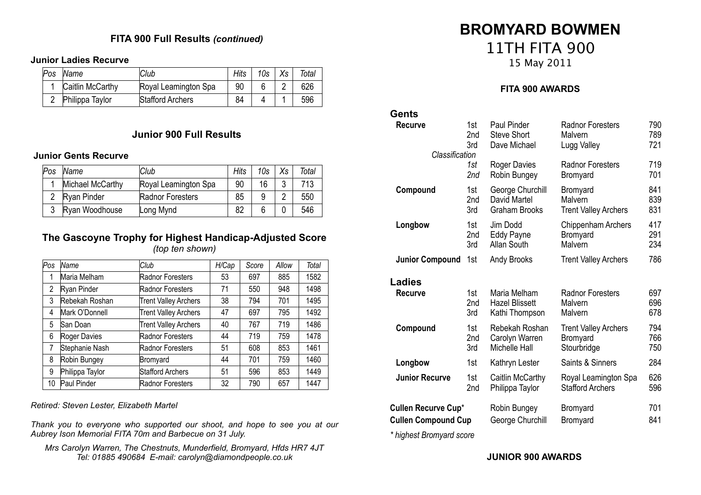# **FITA 900 Full Results** *(continued)*

#### **Junior Ladies Recurve**

| Pos | Name             | Club                 | Hits | 10s | $X_{\mathcal{S}}$ | Total |
|-----|------------------|----------------------|------|-----|-------------------|-------|
|     | Caitlin McCarthy | Royal Leamington Spa | 90   |     |                   | 626   |
|     | Philippa Taylor  | Stafford Archers     | 84   |     |                   | 596   |

#### **Junior 900 Full Results**

#### **Junior Gents Recurve**

| Pos | Name             | Club                 | Hits | 10s | <b>Y</b> c | Total |
|-----|------------------|----------------------|------|-----|------------|-------|
|     | Michael McCarthy | Royal Leamington Spa | 90   | 16  | າ          | 713   |
|     | Ryan Pinder      | Radnor Foresters     | 85   |     |            | 550   |
|     | Ryan Woodhouse   | Long Mynd            | 82   |     |            | 546   |

#### **The Gascoyne Trophy for Highest Handicap-Adjusted Score** *(top ten shown)*

| Pos | Name            | Club                        | H/Cap | Score | Allow | Total |
|-----|-----------------|-----------------------------|-------|-------|-------|-------|
|     | Maria Melham    | Radnor Foresters            | 53    | 697   | 885   | 1582  |
| 2   | Ryan Pinder     | Radnor Foresters            | 71    | 550   | 948   | 1498  |
| 3   | Rebekah Roshan  | <b>Trent Valley Archers</b> | 38    | 794   | 701   | 1495  |
| 4   | Mark O'Donnell  | <b>Trent Valley Archers</b> | 47    | 697   | 795   | 1492  |
| 5   | San Doan        | <b>Trent Valley Archers</b> | 40    | 767   | 719   | 1486  |
| 6   | Roger Davies    | Radnor Foresters            | 44    | 719   | 759   | 1478  |
| 7   | Stephanie Nash  | Radnor Foresters            | 51    | 608   | 853   | 1461  |
| 8   | Robin Bungey    | Bromyard                    | 44    | 701   | 759   | 1460  |
| 9   | Philippa Taylor | <b>Stafford Archers</b>     | 51    | 596   | 853   | 1449  |
| 10  | Paul Pinder     | Radnor Foresters            | 32    | 790   | 657   | 1447  |

*Retired: Steven Lester, Elizabeth Martel*

*Thank you to everyone who supported our shoot, and hope to see you at our Aubrey Ison Memorial FITA 70m and Barbecue on 31 July.*

*Mrs Carolyn Warren, The Chestnuts, Munderfield, Bromyard, Hfds HR7 4JT Tel: 01885 490684 E-mail: carolyn@diamondpeople.co.uk*

# **BROMYARD BOWMEN** 11TH FITA 900

15 May 2011

# **FITA 900 AWARDS**

| Gents                      |                 |                       |                             |     |
|----------------------------|-----------------|-----------------------|-----------------------------|-----|
| Recurve                    | 1st             | <b>Paul Pinder</b>    | <b>Radnor Foresters</b>     | 790 |
|                            | 2 <sub>nd</sub> | <b>Steve Short</b>    | Malvern                     | 789 |
|                            | 3rd             | Dave Michael          | Lugg Valley                 | 721 |
| Classification             | 1st             | Roger Davies          | <b>Radnor Foresters</b>     | 719 |
|                            | 2nd             | Robin Bungey          | Bromyard                    | 701 |
| Compound                   | 1st             | George Churchill      | Bromyard                    | 841 |
|                            | 2nd             | David Martel          | Malvern                     | 839 |
|                            | 3rd             | <b>Graham Brooks</b>  | <b>Trent Valley Archers</b> | 831 |
| Longbow                    | 1st             | Jim Dodd              | Chippenham Archers          | 417 |
|                            | 2nd             | Eddy Payne            | Bromyard                    | 291 |
|                            | 3rd             | Allan South           | Malvern                     | 234 |
| <b>Junior Compound</b>     | 1st             | Andy Brooks           | <b>Trent Valley Archers</b> | 786 |
| <b>Ladies</b>              |                 |                       |                             |     |
| <b>Recurve</b>             | 1st             | Maria Melham          | <b>Radnor Foresters</b>     | 697 |
|                            | 2nd             | <b>Hazel Blissett</b> | Malvern                     | 696 |
|                            | 3rd             | Kathi Thompson        | Malvern                     | 678 |
| Compound                   | 1st             | Rebekah Roshan        | <b>Trent Valley Archers</b> | 794 |
|                            | 2nd             | Carolyn Warren        | Bromyard                    | 766 |
|                            | 3rd             | <b>Michelle Hall</b>  | Stourbridge                 | 750 |
| Longbow                    | 1st             | Kathryn Lester        | Saints & Sinners            | 284 |
| <b>Junior Recurve</b>      | 1st             | Caitlin McCarthy      | Royal Leamington Spa        | 626 |
|                            | 2nd             | Philippa Taylor       | <b>Stafford Archers</b>     | 596 |
| <b>Cullen Recurve Cup*</b> |                 | Robin Bungey          | Bromyard                    | 701 |
| <b>Cullen Compound Cup</b> |                 | George Churchill      | Bromyard                    | 841 |
| * highest Bromyard score   |                 |                       |                             |     |

**JUNIOR 900 AWARDS**